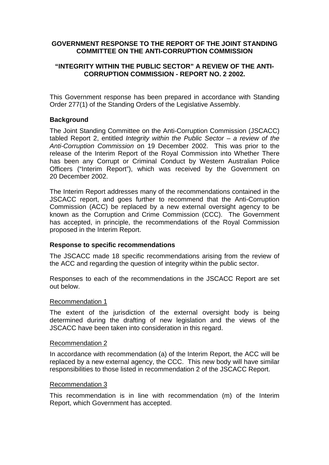# **GOVERNMENT RESPONSE TO THE REPORT OF THE JOINT STANDING COMMITTEE ON THE ANTI-CORRUPTION COMMISSION**

# **"INTEGRITY WITHIN THE PUBLIC SECTOR" A REVIEW OF THE ANTI-CORRUPTION COMMISSION - REPORT NO. 2 2002.**

This Government response has been prepared in accordance with Standing Order 277(1) of the Standing Orders of the Legislative Assembly.

# **Background**

The Joint Standing Committee on the Anti-Corruption Commission (JSCACC) tabled Report 2, entitled Integrity within the Public Sector  $-$  a review of the Anti-Corruption Commission on 19 December 2002. This was prior to the release of the Interim Report of the Royal Commission into Whether There has been any Corrupt or Criminal Conduct by Western Australian Police Officers ("Interim Report"), which was received by the Government on 20 December 2002.

The Interim Report addresses many of the recommendations contained in the JSCACC report, and goes further to recommend that the Anti-Corruption Commission (ACC) be replaced by a new external oversight agency to be known as the Corruption and Crime Commission (CCC). The Government has accepted, in principle, the recommendations of the Royal Commission proposed in the Interim Report.

# **Response to specific recommendations**

The JSCACC made 18 specific recommendations arising from the review of the ACC and regarding the question of integrity within the public sector.

Responses to each of the recommendations in the JSCACC Report are set out below.

#### Recommendation 1

The extent of the jurisdiction of the external oversight body is being determined during the drafting of new legislation and the views of the JSCACC have been taken into consideration in this regard.

#### Recommendation 2

In accordance with recommendation (a) of the Interim Report, the ACC will be replaced by a new external agency, the CCC. This new body will have similar responsibilities to those listed in recommendation 2 of the JSCACC Report.

#### Recommendation 3

This recommendation is in line with recommendation (m) of the Interim Report, which Government has accepted.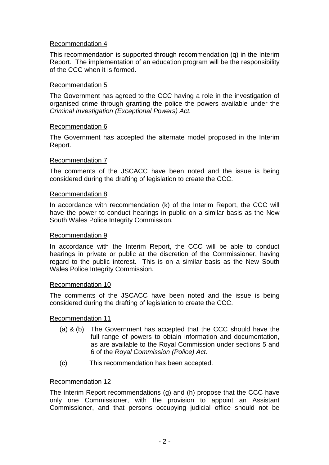# Recommendation 4

This recommendation is supported through recommendation (q) in the Interim Report. The implementation of an education program will be the responsibility of the CCC when it is formed.

# Recommendation 5

The Government has agreed to the CCC having a role in the investigation of organised crime through granting the police the powers available under the Criminal Investigation (Exceptional Powers) Act.

## Recommendation 6

The Government has accepted the alternate model proposed in the Interim Report.

## Recommendation 7

The comments of the JSCACC have been noted and the issue is being considered during the drafting of legislation to create the CCC.

#### Recommendation 8

In accordance with recommendation (k) of the Interim Report, the CCC will have the power to conduct hearings in public on a similar basis as the New South Wales Police Integrity Commission.

#### Recommendation 9

In accordance with the Interim Report, the CCC will be able to conduct hearings in private or public at the discretion of the Commissioner, having regard to the public interest. This is on a similar basis as the New South Wales Police Integrity Commission.

#### Recommendation 10

The comments of the JSCACC have been noted and the issue is being considered during the drafting of legislation to create the CCC.

# Recommendation 11

- (a) & (b) The Government has accepted that the CCC should have the full range of powers to obtain information and documentation, as are available to the Royal Commission under sections 5 and 6 of the Royal Commission (Police) Act.
- (c) This recommendation has been accepted.

# Recommendation 12

The Interim Report recommendations (g) and (h) propose that the CCC have only one Commissioner, with the provision to appoint an Assistant Commissioner, and that persons occupying judicial office should not be